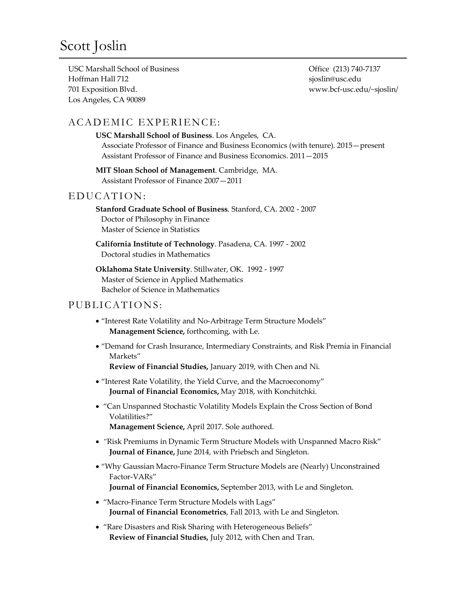USC Marshall School of Business Hoffman Hall 712 701 Exposition Blvd. Los Angeles, CA 90089

Office (213) 740-7137 sjoslin@usc.edu www.bcf-usc.edu/~sjoslin/

# ACADEMIC EXPERIENCE:

**USC Marshall School of Business**. Los Angeles, CA. Associate Professor of Finance and Business Economics (with tenure). 2015—present Assistant Professor of Finance and Business Economics. 2011—2015

**MIT Sloan School of Management**. Cambridge, MA. Assistant Professor of Finance 2007—2011

# EDUCATION:

**Stanford Graduate School of Business**. Stanford, CA. 2002 - 2007 Doctor of Philosophy in Finance Master of Science in Statistics

**California Institute of Technology**. Pasadena, CA. 1997 - 2002 Doctoral studies in Mathematics

**Oklahoma State University**. Stillwater, OK. 1992 - 1997 Master of Science in Applied Mathematics Bachelor of Science in Mathematics

## PUBLICATIONS:

- "Interest Rate Volatility and No-Arbitrage Term Structure Models" **Management Science,** forthcoming, with Le.
- "Demand for Crash Insurance, Intermediary Constraints, and Risk Premia in Financial Markets"

**Review of Financial Studies,** January 2019, with Chen and Ni.

- "Interest Rate Volatility, the Yield Curve, and the Macroeconomy" **Journal of Financial Economics,** May 2018, with Konchitchki.
- "Can Unspanned Stochastic Volatility Models Explain the Cross Section of Bond Volatilities?" **Management Science,** April 2017. Sole authored.
- *"*Risk Premiums in Dynamic Term Structure Models with Unspanned Macro Risk"
- **Journal of Finance,** June 2014, with Priebsch and Singleton.
- "Why Gaussian Macro-Finance Term Structure Models are (Nearly) Unconstrained Factor-VARs" **Journal of Financial Economics,** September 2013, with Le and Singleton.
- "Macro-Finance Term Structure Models with Lags" **Journal of Financial Econometrics**, Fall 2013, with Le and Singleton.
- "Rare Disasters and Risk Sharing with Heterogeneous Beliefs" **Review of Financial Studies,** July 2012, with Chen and Tran.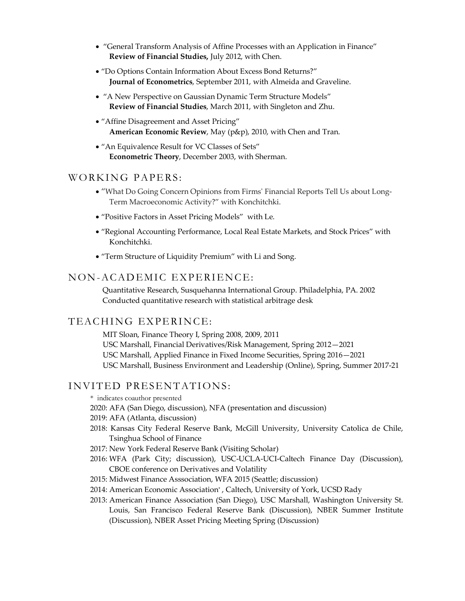- "General Transform Analysis of Affine Processes with an Application in Finance" **Review of Financial Studies,** July 2012, with Chen.
- "Do Options Contain Information About Excess Bond Returns?" **Journal of Econometrics**, September 2011, with Almeida and Graveline.
- "A New Perspective on Gaussian Dynamic Term Structure Models" **Review of Financial Studies**, March 2011, with Singleton and Zhu.
- "Affine Disagreement and Asset Pricing" **American Economic Review**, May (p&p), 2010, with Chen and Tran.
- "An Equivalence Result for VC Classes of Sets" **Econometric Theory**, December 2003, with Sherman.

#### WORKING PAPERS:

- "What Do Going Concern Opinions from Firms' Financial Reports Tell Us about Long-Term Macroeconomic Activity?" with Konchitchki.
- "Positive Factors in Asset Pricing Models" with Le.
- "Regional Accounting Performance, Local Real Estate Markets, and Stock Prices" with Konchitchki.
- "Term Structure of Liquidity Premium" with Li and Song.

# NON-ACADEMIC EXPERIENCE:

Quantitative Research, Susquehanna International Group. Philadelphia, PA. 2002 Conducted quantitative research with statistical arbitrage desk

#### TEACHING EXPERINCE:

 MIT Sloan, Finance Theory I, Spring 2008, 2009, 2011 USC Marshall, Financial Derivatives/Risk Management, Spring 2012—2021 USC Marshall, Applied Finance in Fixed Income Securities, Spring 2016—2021 USC Marshall, Business Environment and Leadership (Online), Spring, Summer 2017-21

## INVITED PRESENTATIONS:

- \* indicates coauthor presented
- 2020: AFA (San Diego, discussion), NFA (presentation and discussion)
- 2019: AFA (Atlanta, discussion)
- 2018: Kansas City Federal Reserve Bank, McGill University, University Catolica de Chile, Tsinghua School of Finance
- 2017: New York Federal Reserve Bank (Visiting Scholar)
- 2016: WFA (Park City; discussion), USC-UCLA-UCI-Caltech Finance Day (Discussion), CBOE conference on Derivatives and Volatility
- 2015: Midwest Finance Asssociation, WFA 2015 (Seattle; discussion)
- 2014: American Economic Association\* , Caltech, University of York, UCSD Rady
- 2013: American Finance Association (San Diego), USC Marshall, Washington University St. Louis, San Francisco Federal Reserve Bank (Discussion), NBER Summer Institute (Discussion), NBER Asset Pricing Meeting Spring (Discussion)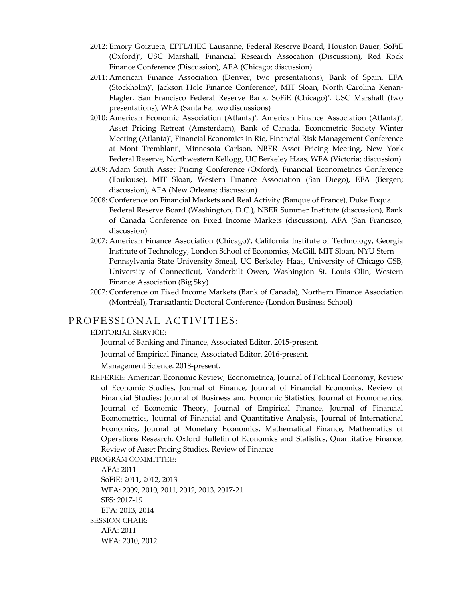- 2012: Emory Goizueta, EPFL/HEC Lausanne, Federal Reserve Board, Houston Bauer, SoFiE (Oxford)\*, USC Marshall, Financial Research Assocation (Discussion), Red Rock Finance Conference (Discussion), AFA (Chicago; discussion)
- 2011: American Finance Association (Denver, two presentations), Bank of Spain, EFA (Stockholm)\*, Jackson Hole Finance Conference\*, MIT Sloan, North Carolina Kenan-Flagler, San Francisco Federal Reserve Bank, SoFiE (Chicago)\*, USC Marshall (two presentations), WFA (Santa Fe, two discussions)
- 2010: American Economic Association (Atlanta)\* , American Finance Association (Atlanta)\*, Asset Pricing Retreat (Amsterdam), Bank of Canada, Econometric Society Winter Meeting (Atlanta)\*, Financial Economics in Rio, Financial Risk Management Conference at Mont Tremblant\*, Minnesota Carlson, NBER Asset Pricing Meeting, New York Federal Reserve, Northwestern Kellogg, UC Berkeley Haas, WFA (Victoria; discussion)
- 2009: Adam Smith Asset Pricing Conference (Oxford), Financial Econometrics Conference (Toulouse), MIT Sloan, Western Finance Association (San Diego), EFA (Bergen; discussion), AFA (New Orleans; discussion)
- 2008: Conference on Financial Markets and Real Activity (Banque of France), Duke Fuqua Federal Reserve Board (Washington, D.C.), NBER Summer Institute (discussion), Bank of Canada Conference on Fixed Income Markets (discussion), AFA (San Francisco, discussion)
- 2007: American Finance Association (Chicago)\* , California Institute of Technology, Georgia Institute of Technology, London School of Economics, McGill, MIT Sloan, NYU Stern Pennsylvania State University Smeal, UC Berkeley Haas, University of Chicago GSB, University of Connecticut, Vanderbilt Owen, Washington St. Louis Olin, Western Finance Association (Big Sky)
- 2007: Conference on Fixed Income Markets (Bank of Canada), Northern Finance Association (Montréal), Transatlantic Doctoral Conference (London Business School)

#### PROFESSIONAL ACTIVITIES:

EDITORIAL SERVICE:

Journal of Banking and Finance, Associated Editor. 2015-present.

Journal of Empirical Finance, Associated Editor. 2016-present.

Management Science. 2018-present.

REFEREE: American Economic Review, Econometrica, Journal of Political Economy, Review of Economic Studies, Journal of Finance, Journal of Financial Economics, Review of Financial Studies; Journal of Business and Economic Statistics, Journal of Econometrics, Journal of Economic Theory, Journal of Empirical Finance, Journal of Financial Econometrics, Journal of Financial and Quantitative Analysis, Journal of International Economics, Journal of Monetary Economics, Mathematical Finance, Mathematics of Operations Research, Oxford Bulletin of Economics and Statistics, Quantitative Finance, Review of Asset Pricing Studies, Review of Finance

PROGRAM COMMITTEE:

AFA: 2011 SoFiE: 2011, 2012, 2013 WFA: 2009, 2010, 2011, 2012, 2013, 2017-21 SFS: 2017-19 EFA: 2013, 2014 SESSION CHAIR: AFA: 2011 WFA: 2010, 2012